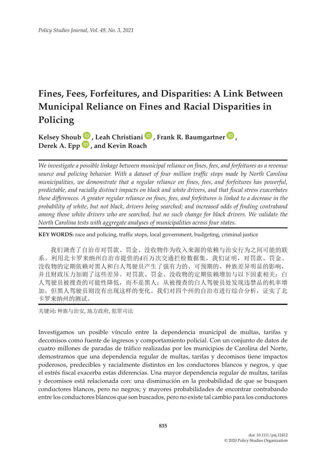# **Fines, Fees, Forfeitures, and Disparities: A Link Between Municipal Reliance on Fines and Racial Disparities in Policing**

**Kelsey Shou[b](https://orcid.org/0000-0002-9881-4752) [,](https://orcid.org/0000-0003-3370-3311) Leah Christian[i](https://orcid.org/0000-0002-0081-9628) , Frank R. Baumgartner [,](https://orcid.org/0000-0003-4193-4152) Derek A. Epp , and Kevin Roach**

*We investigate a possible linkage between municipal reliance on fines, fees, and forfeitures as a revenue source and policing behavior. With a dataset of four million traffic stops made by North Carolina municipalities, we demonstrate that a regular reliance on fines, fees, and forfeitures has powerful, predictable, and racially distinct impacts on black and white drivers, and that fiscal stress exacerbates these differences. A greater regular reliance on fines, fees, and forfeitures is linked to a decrease in the probability of white, but not black, drivers being searched; and increased odds of finding contraband among those white drivers who are searched, but no such change for black drivers. We validate the North Carolina tests with aggregate analyses of municipalities across four states.*

**KEY WORDS:** race and policing, traffic stops, local government, budgeting, criminal justice

我们调查了自治市对罚款、罚金、没收物作为收入来源的依赖与治安行为之间可能的联 系。利用北卡罗来纳州自治市提供的*4*百万次交通拦检数据集,我们证明,对罚款、罚金、 没收物的定期依赖对黑人和白人驾驶员产生了强有力的、可预期的、种族差异明显的影响, 并且财政压力加剧了这些差异。对罚款、罚金、没收物的定期依赖增加与以下因素相关:白 人驾驶员被搜查的可能性降低,而不是黑人;从被搜查的白人驾驶员处发现违禁品的机率增 加,但黑人驾驶员则没有出现这样的变化。我们对四个州的自治市进行综合分析,证实了北 卡罗来纳州的测试。

关键词**:** 种族与治安, 地方政府, 犯罪司法

Investigamos un posible vínculo entre la dependencia municipal de multas, tarifas y decomisos como fuente de ingresos y comportamiento policial. Con un conjunto de datos de cuatro millones de paradas de tráfico realizadas por los municipios de Carolina del Norte, demostramos que una dependencia regular de multas, tarifas y decomisos tiene impactos poderosos, predecibles y racialmente distintos en los conductores blancos y negros, y que el estrés fiscal exacerba estas diferencias. Una mayor dependencia regular de multas, tarifas y decomisos está relacionada con: una disminución en la probabilidad de que se busquen conductores blancos, pero no negros; y mayores probabilidades de encontrar contrabando entre los conductores blancos que son buscados, pero no existe tal cambio para los conductores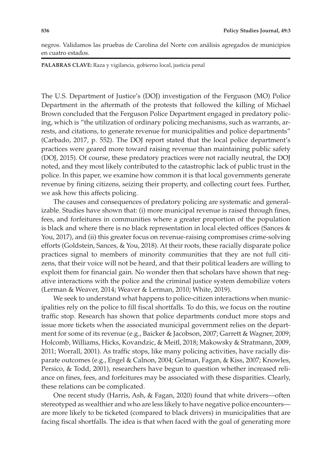negros. Validamos las pruebas de Carolina del Norte con análisis agregados de municipios en cuatro estados.

**PALABRAS CLAVE:** Raza y vigilancia, gobierno local, justicia penal

The U.S. Department of Justice's (DOJ) investigation of the Ferguson (MO) Police Department in the aftermath of the protests that followed the killing of Michael Brown concluded that the Ferguson Police Department engaged in predatory policing, which is "the utilization of ordinary policing mechanisms, such as warrants, arrests, and citations, to generate revenue for municipalities and police departments" (Carbado, 2017, p. 552). The DOJ report stated that the local police department's practices were geared more toward raising revenue than maintaining public safety (DOJ, 2015). Of course, these predatory practices were not racially neutral, the DOJ noted, and they most likely contributed to the catastrophic lack of public trust in the police. In this paper, we examine how common it is that local governments generate revenue by fining citizens, seizing their property, and collecting court fees. Further, we ask how this affects policing.

The causes and consequences of predatory policing are systematic and generalizable. Studies have shown that: (i) more municipal revenue is raised through fines, fees, and forfeitures in communities where a greater proportion of the population is black and where there is no black representation in local elected offices (Sances & You, 2017), and (ii) this greater focus on revenue-raising compromises crime-solving efforts (Goldstein, Sances, & You, 2018). At their roots, these racially disparate police practices signal to members of minority communities that they are not full citizens, that their voice will not be heard, and that their political leaders are willing to exploit them for financial gain. No wonder then that scholars have shown that negative interactions with the police and the criminal justice system demobilize voters (Lerman & Weaver, 2014; Weaver & Lerman, 2010; White, 2019).

We seek to understand what happens to police-citizen interactions when municipalities rely on the police to fill fiscal shortfalls. To do this, we focus on the routine traffic stop. Research has shown that police departments conduct more stops and issue more tickets when the associated municipal government relies on the department for some of its revenue (e.g., Baicker & Jacobson, 2007; Garrett & Wagner, 2009; Holcomb, Williams, Hicks, Kovandzic, & Meitl, 2018; Makowsky & Stratmann, 2009, 2011; Worrall, 2001). As traffic stops, like many policing activities, have racially disparate outcomes (e.g., Engel & Calnon, 2004; Gelman, Fagan, & Kiss, 2007; Knowles, Persico, & Todd, 2001), researchers have begun to question whether increased reliance on fines, fees, and forfeitures may be associated with these disparities. Clearly, these relations can be complicated.

One recent study (Harris, Ash, & Fagan, 2020) found that white drivers—often stereotyped as wealthier and who are less likely to have negative police encounters are more likely to be ticketed (compared to black drivers) in municipalities that are facing fiscal shortfalls. The idea is that when faced with the goal of generating more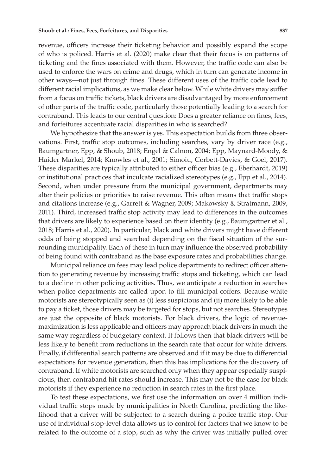revenue, officers increase their ticketing behavior and possibly expand the scope of who is policed. Harris et al. (2020) make clear that their focus is on patterns of ticketing and the fines associated with them. However, the traffic code can also be used to enforce the wars on crime and drugs, which in turn can generate income in other ways—not just through fines. These different uses of the traffic code lead to different racial implications, as we make clear below. While white drivers may suffer from a focus on traffic tickets, black drivers are disadvantaged by more enforcement of other parts of the traffic code, particularly those potentially leading to a search for contraband. This leads to our central question: Does a greater reliance on fines, fees, and forfeitures accentuate racial disparities in who is searched?

We hypothesize that the answer is yes. This expectation builds from three observations. First, traffic stop outcomes, including searches, vary by driver race (e.g., Baumgartner, Epp, & Shoub, 2018; Engel & Calnon, 2004; Epp, Maynard-Moody, & Haider Markel, 2014; Knowles et al., 2001; Simoiu, Corbett-Davies, & Goel, 2017). These disparities are typically attributed to either officer bias (e.g., Eberhardt, 2019) or institutional practices that inculcate racialized stereotypes (e.g., Epp et al., 2014). Second, when under pressure from the municipal government, departments may alter their policies or priorities to raise revenue. This often means that traffic stops and citations increase (e.g., Garrett & Wagner, 2009; Makowsky & Stratmann, 2009, 2011). Third, increased traffic stop activity may lead to differences in the outcomes that drivers are likely to experience based on their identity (e.g., Baumgartner et al., 2018; Harris et al., 2020). In particular, black and white drivers might have different odds of being stopped and searched depending on the fiscal situation of the surrounding municipality. Each of these in turn may influence the observed probability of being found with contraband as the base exposure rates and probabilities change.

Municipal reliance on fees may lead police departments to redirect officer attention to generating revenue by increasing traffic stops and ticketing, which can lead to a decline in other policing activities. Thus, we anticipate a reduction in searches when police departments are called upon to fill municipal coffers. Because white motorists are stereotypically seen as (i) less suspicious and (ii) more likely to be able to pay a ticket, those drivers may be targeted for stops, but not searches. Stereotypes are just the opposite of black motorists. For black drivers, the logic of revenuemaximization is less applicable and officers may approach black drivers in much the same way regardless of budgetary context. It follows then that black drivers will be less likely to benefit from reductions in the search rate that occur for white drivers. Finally, if differential search patterns are observed and if it may be due to differential expectations for revenue generation, then this has implications for the discovery of contraband. If white motorists are searched only when they appear especially suspicious, then contraband hit rates should increase. This may not be the case for black motorists if they experience no reduction in search rates in the first place.

To test these expectations, we first use the information on over 4 million individual traffic stops made by municipalities in North Carolina, predicting the likelihood that a driver will be subjected to a search during a police traffic stop. Our use of individual stop-level data allows us to control for factors that we know to be related to the outcome of a stop, such as why the driver was initially pulled over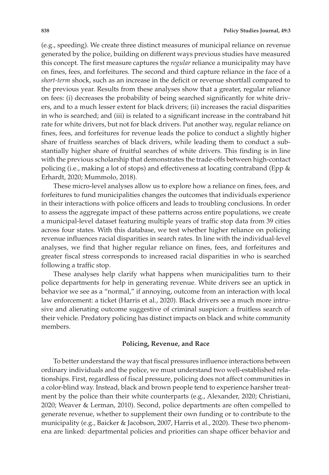(e.g., speeding). We create three distinct measures of municipal reliance on revenue generated by the police, building on different ways previous studies have measured this concept. The first measure captures the *regular* reliance a municipality may have on fines, fees, and forfeitures. The second and third capture reliance in the face of a *short-term* shock, such as an increase in the deficit or revenue shortfall compared to the previous year. Results from these analyses show that a greater, regular reliance on fees: (i) decreases the probability of being searched significantly for white drivers, and to a much lesser extent for black drivers; (ii) increases the racial disparities in who is searched; and (iii) is related to a significant increase in the contraband hit rate for white drivers, but not for black drivers. Put another way, regular reliance on fines, fees, and forfeitures for revenue leads the police to conduct a slightly higher share of fruitless searches of black drivers, while leading them to conduct a substantially higher share of fruitful searches of white drivers. This finding is in line with the previous scholarship that demonstrates the trade-offs between high-contact policing (i.e., making a lot of stops) and effectiveness at locating contraband (Epp & Erhardt, 2020; Mummolo, 2018).

These micro-level analyses allow us to explore how a reliance on fines, fees, and forfeitures to fund municipalities changes the outcomes that individuals experience in their interactions with police officers and leads to troubling conclusions. In order to assess the aggregate impact of these patterns across entire populations, we create a municipal-level dataset featuring multiple years of traffic stop data from 39 cities across four states. With this database, we test whether higher reliance on policing revenue influences racial disparities in search rates. In line with the individual-level analyses, we find that higher regular reliance on fines, fees, and forfeitures and greater fiscal stress corresponds to increased racial disparities in who is searched following a traffic stop.

These analyses help clarify what happens when municipalities turn to their police departments for help in generating revenue. White drivers see an uptick in behavior we see as a "normal," if annoying, outcome from an interaction with local law enforcement: a ticket (Harris et al., 2020). Black drivers see a much more intrusive and alienating outcome suggestive of criminal suspicion: a fruitless search of their vehicle. Predatory policing has distinct impacts on black and white community members.

#### **Policing, Revenue, and Race**

To better understand the way that fiscal pressures influence interactions between ordinary individuals and the police, we must understand two well-established relationships. First, regardless of fiscal pressure, policing does not affect communities in a color-blind way. Instead, black and brown people tend to experience harsher treatment by the police than their white counterparts (e.g., Alexander, 2020; Christiani, 2020; Weaver & Lerman, 2010). Second, police departments are often compelled to generate revenue, whether to supplement their own funding or to contribute to the municipality (e.g., Baicker & Jacobson, 2007, Harris et al., 2020). These two phenomena are linked: departmental policies and priorities can shape officer behavior and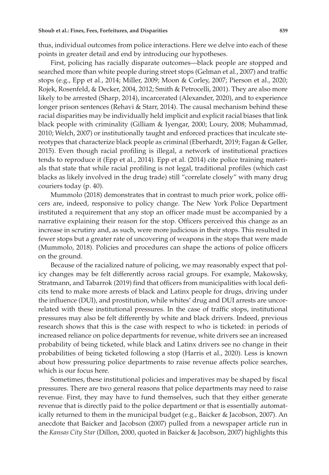thus, individual outcomes from police interactions. Here we delve into each of these points in greater detail and end by introducing our hypotheses.

First, policing has racially disparate outcomes—black people are stopped and searched more than white people during street stops (Gelman et al., 2007) and traffic stops (e.g., Epp et al., 2014; Miller, 2009; Moon & Corley, 2007; Pierson et al., 2020; Rojek, Rosenfeld, & Decker, 2004, 2012; Smith & Petrocelli, 2001). They are also more likely to be arrested (Sharp, 2014), incarcerated (Alexander, 2020), and to experience longer prison sentences (Rehavi & Starr, 2014). The causal mechanism behind these racial disparities may be individually held implicit and explicit racial biases that link black people with criminality (Gilliam & Iyengar, 2000; Loury, 2008; Muhammad, 2010; Welch, 2007) or institutionally taught and enforced practices that inculcate stereotypes that characterize black people as criminal (Eberhardt, 2019; Fagan & Geller, 2015). Even though racial profiling is illegal, a network of institutional practices tends to reproduce it (Epp et al., 2014). Epp et al. (2014) cite police training materials that state that while racial profiling is not legal, traditional profiles (which cast blacks as likely involved in the drug trade) still "correlate closely" with many drug couriers today (p. 40).

Mummolo (2018) demonstrates that in contrast to much prior work, police officers are, indeed, responsive to policy change. The New York Police Department instituted a requirement that any stop an officer made must be accompanied by a narrative explaining their reason for the stop. Officers perceived this change as an increase in scrutiny and, as such, were more judicious in their stops. This resulted in fewer stops but a greater rate of uncovering of weapons in the stops that were made (Mummolo, 2018). Policies and procedures can shape the actions of police officers on the ground.

Because of the racialized nature of policing, we may reasonably expect that policy changes may be felt differently across racial groups. For example, Makowsky, Stratmann, and Tabarrok (2019) find that officers from municipalities with local deficits tend to make more arrests of black and Latinx people for drugs, driving under the influence (DUI), and prostitution, while whites' drug and DUI arrests are uncorrelated with these institutional pressures. In the case of traffic stops, institutional pressures may also be felt differently by white and black drivers. Indeed, previous research shows that this is the case with respect to who is ticketed: in periods of increased reliance on police departments for revenue, white drivers see an increased probability of being ticketed, while black and Latinx drivers see no change in their probabilities of being ticketed following a stop (Harris et al., 2020). Less is known about how pressuring police departments to raise revenue affects police searches, which is our focus here.

Sometimes, these institutional policies and imperatives may be shaped by fiscal pressures. There are two general reasons that police departments may need to raise revenue. First, they may have to fund themselves, such that they either generate revenue that is directly paid to the police department or that is essentially automatically returned to them in the municipal budget (e.g., Baicker & Jacobson, 2007). An anecdote that Baicker and Jacobson (2007) pulled from a newspaper article run in the *Kansas City Star* (Dillon, 2000, quoted in Baicker & Jacobson, 2007) highlights this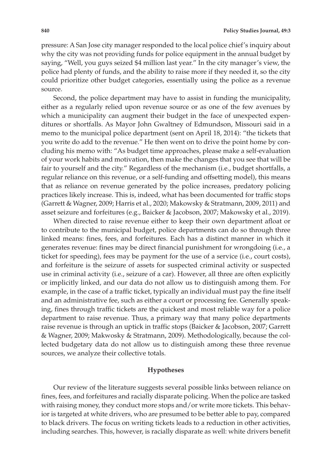pressure: A San Jose city manager responded to the local police chief's inquiry about why the city was not providing funds for police equipment in the annual budget by saying, "Well, you guys seized \$4 million last year." In the city manager's view, the police had plenty of funds, and the ability to raise more if they needed it, so the city could prioritize other budget categories, essentially using the police as a revenue source.

Second, the police department may have to assist in funding the municipality, either as a regularly relied upon revenue source or as one of the few avenues by which a municipality can augment their budget in the face of unexpected expenditures or shortfalls. As Mayor John Gwaltney of Edmundson, Missouri said in a memo to the municipal police department (sent on April 18, 2014): "the tickets that you write do add to the revenue." He then went on to drive the point home by concluding his memo with: "As budget time approaches, please make a self-evaluation of your work habits and motivation, then make the changes that you see that will be fair to yourself and the city." Regardless of the mechanism (i.e., budget shortfalls, a regular reliance on this revenue, or a self-funding and offsetting model), this means that as reliance on revenue generated by the police increases, predatory policing practices likely increase. This is, indeed, what has been documented for traffic stops (Garrett & Wagner, 2009; Harris et al., 2020; Makowsky & Stratmann, 2009, 2011) and asset seizure and forfeitures (e.g., Baicker & Jacobson, 2007; Makowsky et al., 2019).

When directed to raise revenue either to keep their own department afloat or to contribute to the municipal budget, police departments can do so through three linked means: fines, fees, and forfeitures. Each has a distinct manner in which it generates revenue: fines may be direct financial punishment for wrongdoing (i.e., a ticket for speeding), fees may be payment for the use of a service (i.e., court costs), and forfeiture is the seizure of assets for suspected criminal activity or suspected use in criminal activity (i.e., seizure of a car). However, all three are often explicitly or implicitly linked, and our data do not allow us to distinguish among them. For example, in the case of a traffic ticket, typically an individual must pay the fine itself and an administrative fee, such as either a court or processing fee. Generally speaking, fines through traffic tickets are the quickest and most reliable way for a police department to raise revenue. Thus, a primary way that many police departments raise revenue is through an uptick in traffic stops (Baicker & Jacobson, 2007; Garrett & Wagner, 2009; Makwosky & Stratmann, 2009). Methodologically, because the collected budgetary data do not allow us to distinguish among these three revenue sources, we analyze their collective totals.

#### **Hypotheses**

Our review of the literature suggests several possible links between reliance on fines, fees, and forfeitures and racially disparate policing. When the police are tasked with raising money, they conduct more stops and/or write more tickets. This behavior is targeted at white drivers, who are presumed to be better able to pay, compared to black drivers. The focus on writing tickets leads to a reduction in other activities, including searches. This, however, is racially disparate as well: white drivers benefit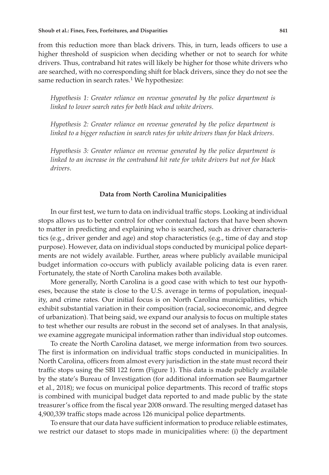from this reduction more than black drivers. This, in turn, leads officers to use a higher threshold of suspicion when deciding whether or not to search for white drivers. Thus, contraband hit rates will likely be higher for those white drivers who are searched, with no corresponding shift for black drivers, since they do not see the same reduction in search rates.<sup>1</sup> We hypothesize:

*Hypothesis 1: Greater reliance on revenue generated by the police department is linked to lower search rates for both black and white drivers*.

*Hypothesis 2: Greater reliance on revenue generated by the police department is linked to a bigger reduction in search rates for white drivers than for black drivers*.

*Hypothesis 3: Greater reliance on revenue generated by the police department is linked to an increase in the contraband hit rate for white drivers but not for black drivers*.

#### **Data from North Carolina Municipalities**

In our first test, we turn to data on individual traffic stops. Looking at individual stops allows us to better control for other contextual factors that have been shown to matter in predicting and explaining who is searched, such as driver characteristics (e.g., driver gender and age) and stop characteristics (e.g., time of day and stop purpose). However, data on individual stops conducted by municipal police departments are not widely available. Further, areas where publicly available municipal budget information co-occurs with publicly available policing data is even rarer. Fortunately, the state of North Carolina makes both available.

More generally, North Carolina is a good case with which to test our hypotheses, because the state is close to the U.S. average in terms of population, inequality, and crime rates. Our initial focus is on North Carolina municipalities, which exhibit substantial variation in their composition (racial, socioeconomic, and degree of urbanization). That being said, we expand our analysis to focus on multiple states to test whether our results are robust in the second set of analyses. In that analysis, we examine aggregate municipal information rather than individual stop outcomes.

To create the North Carolina dataset, we merge information from two sources. The first is information on individual traffic stops conducted in municipalities. In North Carolina, officers from almost every jurisdiction in the state must record their traffic stops using the SBI 122 form (Figure 1). This data is made publicly available by the state's Bureau of Investigation (for additional information see Baumgartner et al., 2018); we focus on municipal police departments. This record of traffic stops is combined with municipal budget data reported to and made public by the state treasurer's office from the fiscal year 2008 onward. The resulting merged dataset has 4,900,339 traffic stops made across 126 municipal police departments.

To ensure that our data have sufficient information to produce reliable estimates, we restrict our dataset to stops made in municipalities where: (i) the department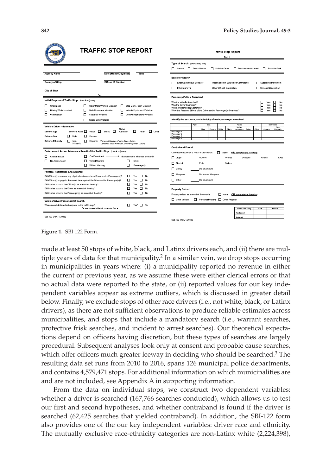Protective Fris

**Suspicious Movement** Witness Observation

> E No<br>No<br>No

| CARO                                                                                                                                                                                          | <b>TRAFFIC STOP REPORT</b>                                                                                                                                                                                                        |                                                                                                                    | <b>Traffic Stop Report</b><br>Part II                                                                                                                                                                                                                     |  |  |  |
|-----------------------------------------------------------------------------------------------------------------------------------------------------------------------------------------------|-----------------------------------------------------------------------------------------------------------------------------------------------------------------------------------------------------------------------------------|--------------------------------------------------------------------------------------------------------------------|-----------------------------------------------------------------------------------------------------------------------------------------------------------------------------------------------------------------------------------------------------------|--|--|--|
|                                                                                                                                                                                               |                                                                                                                                                                                                                                   |                                                                                                                    | Type of Search (check only one)<br>Search Warrant<br><b>Cause</b> Probable Cause<br>Search Incident to Arrest<br>Consent                                                                                                                                  |  |  |  |
| <b>Agency Name</b><br><b>County of Stop</b><br>City of Stop                                                                                                                                   | Date (Month/Day/Year)<br><b>Officer ID Number</b><br>Part I                                                                                                                                                                       | Time                                                                                                               | <b>Basis for Search</b><br>Erratic/Suspicious Behavior<br>п<br>Observation of Suspected Contraband<br>п<br>г<br>Other Official Information<br>Informant's Tip<br>□<br>□                                                                                   |  |  |  |
| Initial Purpose of Traffic Stop (check only one)<br>□<br>Checkpoint<br>Driving While Impaired<br>ш<br>п<br>Investigation                                                                      | п<br>Other Motor Vehicle Violation<br>□<br>Safe Movement Violation<br>п<br>ш<br>п<br>п<br>Seat Belt Violation                                                                                                                     | Stop Light / Sign Violation<br>Vehicle Equipment Violation<br>Vehicle Regulatory Violation                         | Person(s)/Vehicle Searched<br>Was the Vehicle Searched?<br>Was the Driver Searched?<br>Was a Passenger(s) Searched?<br>Were the Personal Effects of the Driver and/or Passenger(s) Searched?                                                              |  |  |  |
| <b>Vehicle Driver Information</b><br>Driver's Age<br>п.<br>Male<br>Driver's Sex<br><b>Driver's Ethnicity</b><br>п<br>Non-<br>Hispanic                                                         | Speed Limit Violation<br>п<br>Native<br>Driver's Race I White<br>D.<br>Black<br>D<br>American<br>п<br>Female<br>□<br>Hispanic<br>(Person of Mexican, Puerto Rican, Cuban,<br>Central or South American, or other Spanish Culture) | п<br>Asian<br>$\Box$ Other                                                                                         | Identify the sex, race, and ethnicity of each passenger searched<br>Age<br>Sex<br>Race<br>Native<br>Male<br>Black<br>Other<br>Female<br>White<br>Asian<br>American<br>Passenger 1<br>Passenger 2<br>Passenger 3<br>Passenger 4<br><b>Contraband Found</b> |  |  |  |
| Citation Issued<br>П<br>п<br>No Action Taken<br><b>Physical Resistance Encountered</b>                                                                                                        | Enforcement Action Taken as a Result of the Traffic Stop (check only one)<br>On-View Arrest -<br>п<br>□<br>Verbal Warning<br>Written Warning                                                                                      | * If arrest made, who was arrested?<br>□<br>Driver<br>□<br>Passenger(s)                                            | Contraband found as a result of the search:<br>$\Box$ None<br>OR complete the following:<br>$\Box$ Drugs<br>Ounces<br>Pounds<br>Dosages<br>Gallons<br>□ Alcohol<br>Pints<br>Dollar Amount<br>Money                                                        |  |  |  |
| Did injuries occur to the Officer(s) as a result of the stop?<br>Did injuries occur to the Driver as a result of the stoo?<br>Did injuries occur to the Passenger(s) as a result of the stop? | Did Officer(s) encounter any physical resistance from Driver and/or Passenger(s)?<br>Did Officer(s) engage in the use of force against the Driver and/or Passenger(s)?                                                            | □<br>Yes<br>No<br>□<br>Yes<br>ш<br>No<br>П<br>п<br>No<br>Yes<br>г<br>n<br>No<br>Yes<br>D.<br>П<br>Yes<br><b>No</b> | □ Weapons<br>Number of Weapons<br>$\Box$ Other<br>Dollar Amount<br><b>Property Seized</b><br>Property seized as a result of the search:<br>$\Box$ None<br>OR complete the following:                                                                      |  |  |  |
| Vehicle/Driver/Passenger(s) Search<br>Was a search initiated subsequent to the traffic stop?<br>SBI-122 (Rev. 1/2015)                                                                         | "If search was initiated, complete Part                                                                                                                                                                                           | □<br>$Yes^*$ $\Box$ No                                                                                             | □ Motor Vehicle<br>Personal Property C Other Property<br>Office Use Only<br>Dr.<br>Reviewed<br>Entered                                                                                                                                                    |  |  |  |

**Figure 1.** SBI 122 Form.

made at least 50 stops of white, black, and Latinx drivers each, and (ii) there are multiple years of data for that municipality.<sup>2</sup> In a similar vein, we drop stops occurring in municipalities in years where: (i) a municipality reported no revenue in either the current or previous year, as we assume these were either clerical errors or that no actual data were reported to the state, or (ii) reported values for our key independent variables appear as extreme outliers, which is discussed in greater detail below. Finally, we exclude stops of other race drivers (i.e., not white, black, or Latinx drivers), as there are not sufficient observations to produce reliable estimates across municipalities, and stops that include a mandatory search (i.e., warrant searches, protective frisk searches, and incident to arrest searches). Our theoretical expectations depend on officers having discretion, but these types of searches are largely procedural. Subsequent analyses look only at consent and probable cause searches, which offer officers much greater leeway in deciding who should be searched.<sup>3</sup> The resulting data set runs from 2010 to 2016, spans 126 municipal police departments, and contains 4,579,471 stops. For additional information on which municipalities are and are not included, see Appendix A in supporting information.

SBI-122 (Rev. 1/2015)

From the data on individual stops, we construct two dependent variables: whether a driver is searched (167,766 searches conducted), which allows us to test our first and second hypotheses, and whether contraband is found if the driver is searched (62,425 searches that yielded contraband). In addition, the SBI-122 form also provides one of the our key independent variables: driver race and ethnicity. The mutually exclusive race-ethnicity categories are non-Latinx white (2,224,398),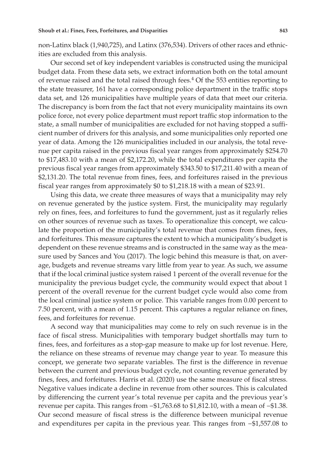non-Latinx black (1,940,725), and Latinx (376,534). Drivers of other races and ethnicities are excluded from this analysis.

Our second set of key independent variables is constructed using the municipal budget data. From these data sets, we extract information both on the total amount of revenue raised and the total raised through fees. $4$  Of the 553 entities reporting to the state treasurer, 161 have a corresponding police department in the traffic stops data set, and 126 municipalities have multiple years of data that meet our criteria. The discrepancy is born from the fact that not every municipality maintains its own police force, not every police department must report traffic stop information to the state, a small number of municipalities are excluded for not having stopped a sufficient number of drivers for this analysis, and some municipalities only reported one year of data. Among the 126 municipalities included in our analysis, the total revenue per capita raised in the previous fiscal year ranges from approximately \$254.70 to \$17,483.10 with a mean of \$2,172.20, while the total expenditures per capita the previous fiscal year ranges from approximately \$343.50 to \$17,211.40 with a mean of \$2,131.20. The total revenue from fines, fees, and forfeitures raised in the previous fiscal year ranges from approximately \$0 to \$1,218.18 with a mean of \$23.91.

Using this data, we create three measures of ways that a municipality may rely on revenue generated by the justice system. First, the municipality may regularly rely on fines, fees, and forfeitures to fund the government, just as it regularly relies on other sources of revenue such as taxes. To operationalize this concept, we calculate the proportion of the municipality's total revenue that comes from fines, fees, and forfeitures. This measure captures the extent to which a municipality's budget is dependent on these revenue streams and is constructed in the same way as the measure used by Sances and You (2017). The logic behind this measure is that, on average, budgets and revenue streams vary little from year to year. As such, we assume that if the local criminal justice system raised 1 percent of the overall revenue for the municipality the previous budget cycle, the community would expect that about 1 percent of the overall revenue for the current budget cycle would also come from the local criminal justice system or police. This variable ranges from 0.00 percent to 7.50 percent, with a mean of 1.15 percent. This captures a regular reliance on fines, fees, and forfeitures for revenue.

A second way that municipalities may come to rely on such revenue is in the face of fiscal stress. Municipalities with temporary budget shortfalls may turn to fines, fees, and forfeitures as a stop-gap measure to make up for lost revenue. Here, the reliance on these streams of revenue may change year to year. To measure this concept, we generate two separate variables. The first is the difference in revenue between the current and previous budget cycle, not counting revenue generated by fines, fees, and forfeitures. Harris et al. (2020) use the same measure of fiscal stress. Negative values indicate a decline in revenue from other sources. This is calculated by differencing the current year's total revenue per capita and the previous year's revenue per capita. This ranges from −\$1,763.68 to \$1,812.10, with a mean of −\$1.38. Our second measure of fiscal stress is the difference between municipal revenue and expenditures per capita in the previous year. This ranges from −\$1,557.08 to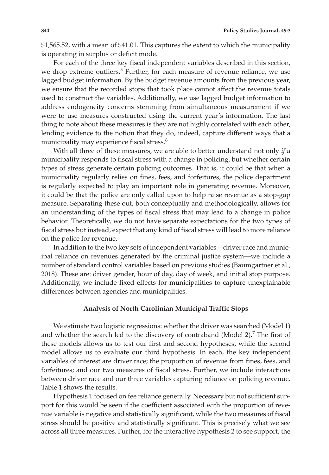\$1,565.52, with a mean of \$41.01. This captures the extent to which the municipality is operating in surplus or deficit mode.

For each of the three key fiscal independent variables described in this section, we drop extreme outliers.<sup>5</sup> Further, for each measure of revenue reliance, we use lagged budget information. By the budget revenue amounts from the previous year, we ensure that the recorded stops that took place cannot affect the revenue totals used to construct the variables. Additionally, we use lagged budget information to address endogeneity concerns stemming from simultaneous measurement if we were to use measures constructed using the current year's information. The last thing to note about these measures is they are not highly correlated with each other, lending evidence to the notion that they do, indeed, capture different ways that a municipality may experience fiscal stress.<sup>6</sup>

With all three of these measures, we are able to better understand not only *if* a municipality responds to fiscal stress with a change in policing, but whether certain types of stress generate certain policing outcomes. That is, it could be that when a municipality regularly relies on fines, fees, and forfeitures, the police department is regularly expected to play an important role in generating revenue. Moreover, it could be that the police are only called upon to help raise revenue as a stop-gap measure. Separating these out, both conceptually and methodologically, allows for an understanding of the types of fiscal stress that may lead to a change in police behavior. Theoretically, we do not have separate expectations for the two types of fiscal stress but instead, expect that any kind of fiscal stress will lead to more reliance on the police for revenue.

In addition to the two key sets of independent variables—driver race and municipal reliance on revenues generated by the criminal justice system—we include a number of standard control variables based on previous studies (Baumgartner et al., 2018). These are: driver gender, hour of day, day of week, and initial stop purpose. Additionally, we include fixed effects for municipalities to capture unexplainable differences between agencies and municipalities.

# **Analysis of North Carolinian Municipal Traffic Stops**

We estimate two logistic regressions: whether the driver was searched (Model 1) and whether the search led to the discovery of contraband (Model 2).<sup>7</sup> The first of these models allows us to test our first and second hypotheses, while the second model allows us to evaluate our third hypothesis. In each, the key independent variables of interest are driver race; the proportion of revenue from fines, fees, and forfeitures; and our two measures of fiscal stress. Further, we include interactions between driver race and our three variables capturing reliance on policing revenue. Table 1 shows the results.

Hypothesis 1 focused on fee reliance generally. Necessary but not sufficient support for this would be seen if the coefficient associated with the proportion of revenue variable is negative and statistically significant, while the two measures of fiscal stress should be positive and statistically significant. This is precisely what we see across all three measures. Further, for the interactive hypothesis 2 to see support, the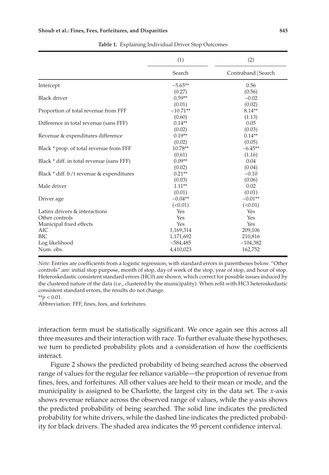|                                           | (1)        | (2)                 |  |
|-------------------------------------------|------------|---------------------|--|
|                                           | Search     | Contraband   Search |  |
| Intercept                                 | $-5.65**$  | 0.56                |  |
|                                           | (0.27)     | (0.56)              |  |
| <b>Black driver</b>                       | $0.59**$   | $-0.02$             |  |
|                                           | (0.01)     | (0.02)              |  |
| Proportion of total revenue from FFF      | $-10.71**$ | $8.14**$            |  |
|                                           | (0.60)     | (1.13)              |  |
| Difference in total revenue (sans FFF)    | $0.14**$   | 0.05                |  |
|                                           | (0.02)     | (0.03)              |  |
| Revenue & expenditures difference         | $0.19**$   | $0.14**$            |  |
|                                           | (0.02)     | (0.05)              |  |
| Black * prop. of total revenue from FFF   | 10.78**    | $-6.45**$           |  |
|                                           | (0.61)     | (1.16)              |  |
| Black * diff. in total revenue (sans FFF) | $0.09**$   | 0.04                |  |
|                                           | (0.02)     | (0.04)              |  |
| Black * diff. b/t revenue & expenditures  | $0.21**$   | $-0.10$             |  |
|                                           | (0.03)     | (0.06)              |  |
| Male driver                               | $1.11**$   | 0.02                |  |
|                                           | (0.01)     | (0.01)              |  |
| Driver age                                | $-0.04**$  | $-0.01**$           |  |
|                                           | (<0.01)    | (<0.01)             |  |
| Latinx drivers & interactions             | Yes        | Yes                 |  |
| Other controls                            | Yes        | Yes                 |  |
| Municipal fixed effects                   | Yes        | Yes                 |  |
| AIC                                       | 1,169,314  | 209,106             |  |
| <b>BIC</b>                                | 1,171,692  | 210,816             |  |
| Log likelihood                            | $-584,485$ | $-104,382$          |  |
| Num. obs.                                 | 4,410,023  | 162,752             |  |

**Table 1.** Explaining Individual Driver Stop Outcomes

*Note:* Entries are coefficients from a logistic regression, with standard errors in parentheses below. "Other controls" are: initial stop purpose, month of stop, day of week of the stop, year of stop, and hour of stop. Heteroskedastic consistent standard errors (HC0) are shown, which correct for possible issues induced by the clustered nature of the data (i.e., clustered by the municipality). When refit with HC3 heteroskedastic consistent standard errors, the results do not change.

\*\**p* < 0.01.

Abbreviation: FFF, fines, fees, and forfeitures.

interaction term must be statistically significant. We once again see this across all three measures and their interaction with race. To further evaluate these hypotheses, we turn to predicted probability plots and a consideration of how the coefficients interact.

Figure 2 shows the predicted probability of being searched across the observed range of values for the regular fee reliance variable—the proportion of revenue from fines, fees, and forfeitures. All other values are held to their mean or mode, and the municipality is assigned to be Charlotte, the largest city in the data set. The *x*-axis shows revenue reliance across the observed range of values, while the *y*-axis shows the predicted probability of being searched. The solid line indicates the predicted probability for white drivers, while the dashed line indicates the predicted probability for black drivers. The shaded area indicates the 95 percent confidence interval.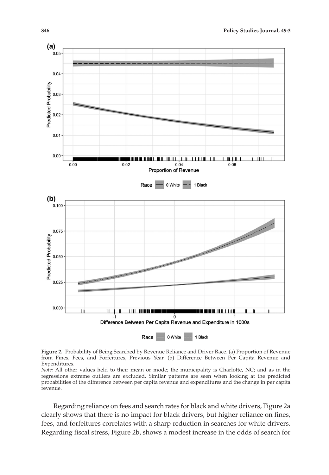

**Figure 2.** Probability of Being Searched by Revenue Reliance and Driver Race. (a) Proportion of Revenue from Fines, Fees, and Forfeitures, Previous Year. (b) Difference Between Per Capita Revenue and Expenditures.

*Note:* All other values held to their mean or mode; the municipality is Charlotte, NC; and as in the regressions extreme outliers are excluded. Similar patterns are seen when looking at the predicted probabilities of the difference between per capita revenue and expenditures and the change in per capita revenue.

Regarding reliance on fees and search rates for black and white drivers, Figure 2a clearly shows that there is no impact for black drivers, but higher reliance on fines, fees, and forfeitures correlates with a sharp reduction in searches for white drivers. Regarding fiscal stress, Figure 2b, shows a modest increase in the odds of search for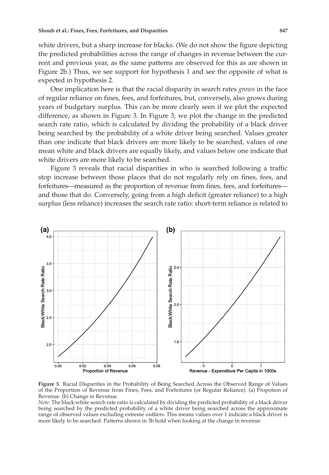white drivers, but a sharp increase for blacks. (We do not show the figure depicting the predicted probabilities across the range of changes in revenue between the current and previous year, as the same patterns are observed for this as are shown in Figure 2b.) Thus, we see support for hypothesis 1 and see the opposite of what is expected in hypothesis 2.

One implication here is that the racial disparity in search rates *grows* in the face of regular reliance on fines, fees, and forfeitures, but, conversely, also grows during years of budgetary surplus. This can be more clearly seen if we plot the expected difference, as shown in Figure 3. In Figure 3, we plot the change in the predicted search rate ratio, which is calculated by dividing the probability of a black driver being searched by the probability of a white driver being searched. Values greater than one indicate that black drivers are more likely to be searched, values of one mean white and black drivers are equally likely, and values below one indicate that white drivers are more likely to be searched.

Figure 3 reveals that racial disparities in who is searched following a traffic stop increase between those places that do not regularly rely on fines, fees, and forfeitures—measured as the proportion of revenue from fines, fees, and forfeitures and those that do. Conversely, going from a high deficit (greater reliance) to a high surplus (less reliance) increases the search rate ratio: short-term reliance is related to



**Figure 3.** Racial Disparities in the Probability of Being Searched Across the Observed Range of Values of the Proportion of Revenue from Fines, Fees, and Forfeitures (or Regular Reliance). (a) Propotion of Revenue. (b) Change in Revenue.

*Note:* The black:white search rate ratio is calculated by dividing the predicted probability of a black driver being searched by the predicted probability of a white driver being searched across the approximate range of observed values excluding extreme outliers. This means values over 1 indicate a black driver is more likely to be searched. Patterns shown in 3b hold when looking at the change in revenue.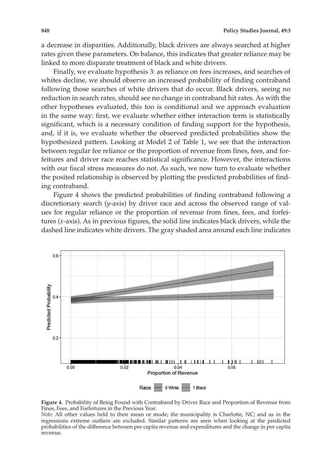a decrease in disparities. Additionally, black drivers are always searched at higher rates given these parameters. On balance, this indicates that greater reliance may be linked to more disparate treatment of black and white drivers.

Finally, we evaluate hypothesis 3: as reliance on fees increases, and searches of whites decline, we should observe an increased probability of finding contraband following those searches of white drivers that do occur. Black drivers, seeing no reduction in search rates, should see no change in contraband hit rates. As with the other hypotheses evaluated, this too is conditional and we approach evaluation in the same way: first, we evaluate whether either interaction term is statistically significant, which is a necessary condition of finding support for the hypothesis, and, if it is, we evaluate whether the observed predicted probabilities show the hypothesized pattern. Looking at Model 2 of Table 1, we see that the interaction between regular fee reliance or the proportion of revenue from fines, fees, and forfeitures and driver race reaches statistical significance. However, the interactions with our fiscal stress measures do not. As such, we now turn to evaluate whether the posited relationship is observed by plotting the predicted probabilities of finding contraband.

Figure 4 shows the predicted probabilities of finding contraband following a discretionary search (*y*-axis) by driver race and across the observed range of values for regular reliance or the proportion of revenue from fines, fees, and forfeitures (*x*-axis). As in previous figures, the solid line indicates black drivers, while the dashed line indicates white drivers. The gray shaded area around each line indicates



**Figure 4.** Probability of Being Found with Contraband by Driver Race and Proportion of Revenue from Fines, Fees, and Forfeitures in the Previous Year.

*Note:* All other values held to their mean or mode; the municipality is Charlotte, NC; and as in the regressions extreme outliers are excluded. Similar patterns are seen when looking at the predicted probabilities of the difference between per capita revenue and expenditures and the change in per capita revenue.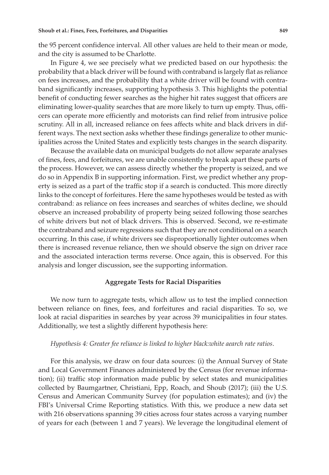the 95 percent confidence interval. All other values are held to their mean or mode, and the city is assumed to be Charlotte.

In Figure 4, we see precisely what we predicted based on our hypothesis: the probability that a black driver will be found with contraband is largely flat as reliance on fees increases, and the probability that a white driver will be found with contraband significantly increases, supporting hypothesis 3. This highlights the potential benefit of conducting fewer searches as the higher hit rates suggest that officers are eliminating lower-quality searches that are more likely to turn up empty. Thus, officers can operate more efficiently and motorists can find relief from intrusive police scrutiny. All in all, increased reliance on fees affects white and black drivers in different ways. The next section asks whether these findings generalize to other municipalities across the United States and explicitly tests changes in the search disparity.

Because the available data on municipal budgets do not allow separate analyses of fines, fees, and forfeitures, we are unable consistently to break apart these parts of the process. However, we can assess directly whether the property is seized, and we do so in Appendix B in supporting information. First, we predict whether any property is seized as a part of the traffic stop if a search is conducted. This more directly links to the concept of forfeitures. Here the same hypotheses would be tested as with contraband: as reliance on fees increases and searches of whites decline, we should observe an increased probability of property being seized following those searches of white drivers but not of black drivers. This is observed. Second, we re-estimate the contraband and seizure regressions such that they are not conditional on a search occurring. In this case, if white drivers see disproportionally lighter outcomes when there is increased revenue reliance, then we should observe the sign on driver race and the associated interaction terms reverse. Once again, this is observed. For this analysis and longer discussion, see the supporting information.

# **Aggregate Tests for Racial Disparities**

We now turn to aggregate tests, which allow us to test the implied connection between reliance on fines, fees, and forfeitures and racial disparities. To so, we look at racial disparities in searches by year across 39 municipalities in four states. Additionally, we test a slightly different hypothesis here:

## *Hypothesis 4: Greater fee reliance is linked to higher black:white aearch rate ratios*.

For this analysis, we draw on four data sources: (i) the Annual Survey of State and Local Government Finances administered by the Census (for revenue information); (ii) traffic stop information made public by select states and municipalities collected by Baumgartner, Christiani, Epp, Roach, and Shoub (2017); (iii) the U.S. Census and American Community Survey (for population estimates); and (iv) the FBI's Universal Crime Reporting statistics. With this, we produce a new data set with 216 observations spanning 39 cities across four states across a varying number of years for each (between 1 and 7 years). We leverage the longitudinal element of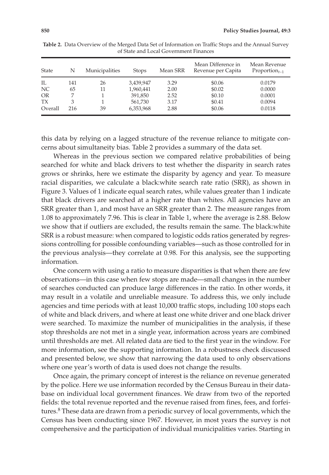| <b>State</b> | N   | Municipalities | <b>Stops</b> | Mean SRR | Mean Difference in<br>Revenue per Capita | Mean Revenue<br>$Proportion_{t-1}$ |
|--------------|-----|----------------|--------------|----------|------------------------------------------|------------------------------------|
| IL           | 141 | 26             | 3.439.947    | 3.29     | \$0.06                                   | 0.0179                             |
| NC.          | 65  | 11             | 1,960,441    | 2.00     | \$0.02                                   | 0.0000                             |
| <b>OR</b>    |     |                | 391,850      | 2.52     | \$0.10                                   | 0.0001                             |
| <b>TX</b>    | 3   |                | 561,730      | 3.17     | \$0.41                                   | 0.0094                             |
| Overall      | 216 | 39             | 6,353,968    | 2.88     | \$0.06                                   | 0.0118                             |

**Table 2.** Data Overview of the Merged Data Set of Information on Traffic Stops and the Annual Survey of State and Local Government Finances

this data by relying on a lagged structure of the revenue reliance to mitigate concerns about simultaneity bias. Table 2 provides a summary of the data set.

Whereas in the previous section we compared relative probabilities of being searched for white and black drivers to test whether the disparity in search rates grows or shrinks, here we estimate the disparity by agency and year. To measure racial disparities, we calculate a black:white search rate ratio (SRR), as shown in Figure 3. Values of 1 indicate equal search rates, while values greater than 1 indicate that black drivers are searched at a higher rate than whites. All agencies have an SRR greater than 1, and most have an SRR greater than 2. The measure ranges from 1.08 to approximately 7.96. This is clear in Table 1, where the average is 2.88. Below we show that if outliers are excluded, the results remain the same. The black:white SRR is a robust measure: when compared to logistic odds ratios generated by regressions controlling for possible confounding variables—such as those controlled for in the previous analysis—they correlate at 0.98. For this analysis, see the supporting information.

One concern with using a ratio to measure disparities is that when there are few observations—in this case when few stops are made—small changes in the number of searches conducted can produce large differences in the ratio. In other words, it may result in a volatile and unreliable measure. To address this, we only include agencies and time periods with at least 10,000 traffic stops, including 100 stops each of white and black drivers, and where at least one white driver and one black driver were searched. To maximize the number of municipalities in the analysis, if these stop thresholds are not met in a single year, information across years are combined until thresholds are met. All related data are tied to the first year in the window. For more information, see the supporting information. In a robustness check discussed and presented below, we show that narrowing the data used to only observations where one year's worth of data is used does not change the results.

Once again, the primary concept of interest is the reliance on revenue generated by the police. Here we use information recorded by the Census Bureau in their database on individual local government finances. We draw from two of the reported fields: the total revenue reported and the revenue raised from fines, fees, and forfeitures.<sup>8</sup> These data are drawn from a periodic survey of local governments, which the Census has been conducting since 1967. However, in most years the survey is not comprehensive and the participation of individual municipalities varies. Starting in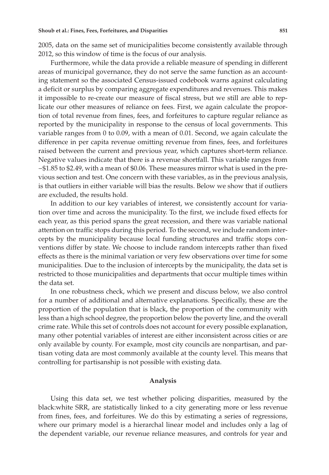2005, data on the same set of municipalities become consistently available through 2012, so this window of time is the focus of our analysis.

Furthermore, while the data provide a reliable measure of spending in different areas of municipal governance, they do not serve the same function as an accounting statement so the associated Census-issued codebook warns against calculating a deficit or surplus by comparing aggregate expenditures and revenues. This makes it impossible to re-create our measure of fiscal stress, but we still are able to replicate our other measures of reliance on fees. First, we again calculate the proportion of total revenue from fines, fees, and forfeitures to capture regular reliance as reported by the municipality in response to the census of local governments. This variable ranges from 0 to 0.09, with a mean of 0.01. Second, we again calculate the difference in per capita revenue omitting revenue from fines, fees, and forfeitures raised between the current and previous year, which captures short-term reliance. Negative values indicate that there is a revenue shortfall. This variable ranges from −\$1.85 to \$2.49, with a mean of \$0.06. These measures mirror what is used in the previous section and test. One concern with these variables, as in the previous analysis, is that outliers in either variable will bias the results. Below we show that if outliers are excluded, the results hold.

In addition to our key variables of interest, we consistently account for variation over time and across the municipality. To the first, we include fixed effects for each year, as this period spans the great recession, and there was variable national attention on traffic stops during this period. To the second, we include random intercepts by the municipality because local funding structures and traffic stops conventions differ by state. We choose to include random intercepts rather than fixed effects as there is the minimal variation or very few observations over time for some municipalities. Due to the inclusion of intercepts by the municipality, the data set is restricted to those municipalities and departments that occur multiple times within the data set.

In one robustness check, which we present and discuss below, we also control for a number of additional and alternative explanations. Specifically, these are the proportion of the population that is black, the proportion of the community with less than a high school degree, the proportion below the poverty line, and the overall crime rate. While this set of controls does not account for every possible explanation, many other potential variables of interest are either inconsistent across cities or are only available by county. For example, most city councils are nonpartisan, and partisan voting data are most commonly available at the county level. This means that controlling for partisanship is not possible with existing data.

# **Analysis**

Using this data set, we test whether policing disparities, measured by the black:white SRR, are statistically linked to a city generating more or less revenue from fines, fees, and forfeitures. We do this by estimating a series of regressions, where our primary model is a hierarchal linear model and includes only a lag of the dependent variable, our revenue reliance measures, and controls for year and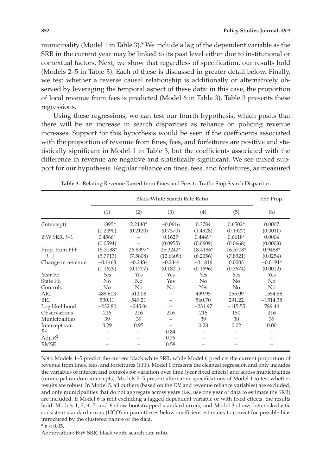municipality (Model 1 in Table 3).<sup>9</sup> We include a lag of the dependent variable as the SRR in the current year may be linked to its past level either due to institutional or contextual factors. Next, we show that regardless of specification, our results hold (Models 2–5 in Table 3). Each of these is discussed in greater detail below. Finally, we test whether a reverse causal relationship is additionally or alternatively observed by leveraging the temporal aspect of these data: in this case, the proportion of local revenue from fees is predicted (Model 6 in Table 3). Table 3 presents these regressions.

Using these regressions, we can test our fourth hypothesis, which posits that there will be an increase in search disparities as reliance on policing revenue increases. Support for this hypothesis would be seen if the coefficients associated with the proportion of revenue from fines, fees, and forfeitures are positive and statistically significant in Model 1 in Table 3, but the coefficients associated with the difference in revenue are negative and statistically significant. We see mixed support for our hypothesis. Regular reliance on fines, fees, and forfeitures, as measured

|                          | Black: White Search Rate Ratio |                       |                       |                       |                       | FFF Prop.              |
|--------------------------|--------------------------------|-----------------------|-----------------------|-----------------------|-----------------------|------------------------|
|                          | (1)                            | (2)                   | (3)                   | (4)                   | (5)                   | (6)                    |
| (Intercept)              | 1.1395*<br>(0.2090)            | $2.2140*$<br>(0.2120) | $-0.0616$<br>(0.7370) | 0.3784<br>(1.4928)    | $0.6502*$<br>(0.1927) | 0.0007<br>(0.0011)     |
| $B:W$ SRR, $t-1$         | $0.4566*$<br>(0.0594)          |                       | 0.1627<br>(0.0955)    | $0.4449*$<br>(0.0609) | $0.6618*$<br>(0.0668) | 0.0004<br>(0.0003)     |
| Prop. from FFF,<br>$t-1$ | 15.3188*<br>(5.7713)           | 26.8397*<br>(7.5808)  | 25.3242*<br>(12.6609) | 18.4186*<br>(6.2056)  | 16.5708*<br>(7.8521)  | 0.9488*<br>(0.0254)    |
| Change in revenue        | $-0.1463$<br>(0.1629)          | $-0.2434$<br>(0.1707) | $-0.2444$<br>(0.1821) | $-0.1816$<br>(0.1696) | 0.0003<br>(0.3674)    | $-0.0191*$<br>(0.0012) |
| Year FE                  | Yes                            | Yes                   | Yes                   | Yes                   | Yes                   | Yes                    |
| <b>State FE</b>          | N <sub>o</sub>                 | No                    | Yes                   | N <sub>o</sub>        | No                    | N <sub>o</sub>         |
| Controls                 | No                             | No                    | No                    | Yes                   | No.                   | No                     |
| AIC                      | 489.613                        | 512.08                |                       | 499.95                | 255.09                | $-1554.88$             |
| BIC                      | 530.11                         | 549.21                |                       | 560.70                | 291.22                | $-1514.38$             |
| Log likelihood           | $-232.80$                      | $-245.04$             |                       | $-231.97$             | $-115.55$             | 789.44                 |
| Observations             | 216                            | 216                   | 216                   | 216                   | 150                   | 216                    |
| Municipalities           | 39                             | 39                    |                       | 39                    | 30                    | 39                     |
| Intercept var.           | 0.29                           | 0.95                  |                       | 0.28                  | 0.02                  | 0.00                   |
| $R^2$                    |                                |                       | 0.84                  |                       |                       |                        |
| Adj. $R^2$               |                                |                       | 0.79                  |                       |                       |                        |
| <b>RMSE</b>              |                                |                       | 0.58                  |                       |                       |                        |

**Table 3.** Relating Revenue Raised from Fines and Fees to Traffic Stop Search Disparities

*Note:* Models 1–5 predict the current black:white SRR, while Model 6 predicts the current proportion of revenue from fines, fees, and forfeitures (FFF). Model 1 presents the cleanest regression and only includes the variables of interest and controls for variation over time (year fixed effects) and across municipalities (municipal random intercepts). Models 2–5 present alternative specifications of Model 1 to test whether results are robust. In Model 5, all outliers (based on the DV and revenue reliance variables) are excluded, and only municipalities that do not aggregate across years (i.e., use one year of data to estimate the SRR) are included. If Model 6 is refit excluding a lagged dependent variable or with fixed effects, the results hold. Models 1, 2, 4, 5, and 6 show bootstrapped standard errors, and Model 3 shows heteroskedastic consistent standard errors (HCO) in parentheses below coefficient estimates to correct for possible bias introduced by the clustered nature of the data.

 $*$  *p* < 0.05.

Abbreviation: B:W SRR, black:white search rate ratio.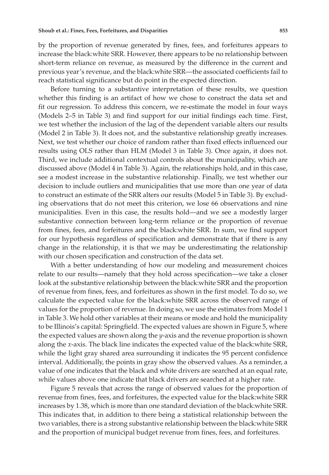by the proportion of revenue generated by fines, fees, and forfeitures appears to increase the black:white SRR. However, there appears to be no relationship between short-term reliance on revenue, as measured by the difference in the current and previous year's revenue, and the black:white SRR—the associated coefficients fail to reach statistical significance but do point in the expected direction.

Before turning to a substantive interpretation of these results, we question whether this finding is an artifact of how we chose to construct the data set and fit our regression. To address this concern, we re-estimate the model in four ways (Models 2–5 in Table 3) and find support for our initial findings each time. First, we test whether the inclusion of the lag of the dependent variable alters our results (Model 2 in Table 3). It does not, and the substantive relationship greatly increases. Next, we test whether our choice of random rather than fixed effects influenced our results using OLS rather than HLM (Model 3 in Table 3). Once again, it does not. Third, we include additional contextual controls about the municipality, which are discussed above (Model 4 in Table 3). Again, the relationships hold, and in this case, see a modest increase in the substantive relationship. Finally, we test whether our decision to include outliers and municipalities that use more than one year of data to construct an estimate of the SRR alters our results (Model 5 in Table 3). By excluding observations that do not meet this criterion, we lose 66 observations and nine municipalities. Even in this case, the results hold—and we see a modestly larger substantive connection between long-term reliance or the proportion of revenue from fines, fees, and forfeitures and the black:white SRR. In sum, we find support for our hypothesis regardless of specification and demonstrate that if there is any change in the relationship, it is that we may be underestimating the relationship with our chosen specification and construction of the data set.

With a better understanding of how our modeling and measurement choices relate to our results—namely that they hold across specification—we take a closer look at the substantive relationship between the black:white SRR and the proportion of revenue from fines, fees, and forfeitures as shown in the first model. To do so, we calculate the expected value for the black:white SRR across the observed range of values for the proportion of revenue. In doing so, we use the estimates from Model 1 in Table 3. We hold other variables at their means or mode and hold the municipality to be Illinois's capital: Springfield. The expected values are shown in Figure 5, where the expected values are shown along the *y*-axis and the revenue proportion is shown along the *x*-axis. The black line indicates the expected value of the black:white SRR, while the light gray shared area surrounding it indicates the 95 percent confidence interval. Additionally, the points in gray show the observed values. As a reminder, a value of one indicates that the black and white drivers are searched at an equal rate, while values above one indicate that black drivers are searched at a higher rate.

Figure 5 reveals that across the range of observed values for the proportion of revenue from fines, fees, and forfeitures, the expected value for the black:white SRR increases by 1.38, which is more than one standard deviation of the black:white SRR. This indicates that, in addition to there being a statistical relationship between the two variables, there is a strong substantive relationship between the black:white SRR and the proportion of municipal budget revenue from fines, fees, and forfeitures.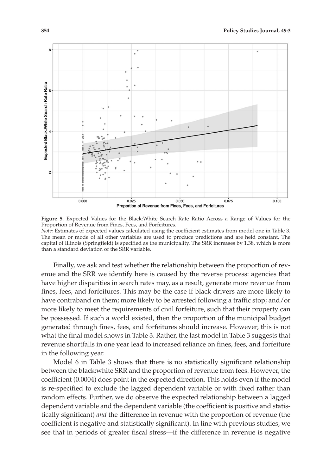



than a standard deviation of the SRR variable.

Finally, we ask and test whether the relationship between the proportion of revenue and the SRR we identify here is caused by the reverse process: agencies that have higher disparities in search rates may, as a result, generate more revenue from fines, fees, and forfeitures. This may be the case if black drivers are more likely to have contraband on them; more likely to be arrested following a traffic stop; and/or more likely to meet the requirements of civil forfeiture, such that their property can be possessed. If such a world existed, then the proportion of the municipal budget generated through fines, fees, and forfeitures should increase. However, this is not what the final model shows in Table 3. Rather, the last model in Table 3 suggests that revenue shortfalls in one year lead to increased reliance on fines, fees, and forfeiture in the following year.

Model 6 in Table 3 shows that there is no statistically significant relationship between the black:white SRR and the proportion of revenue from fees. However, the coefficient (0.0004) does point in the expected direction. This holds even if the model is re-specified to exclude the lagged dependent variable or with fixed rather than random effects. Further, we do observe the expected relationship between a lagged dependent variable and the dependent variable (the coefficient is positive and statistically significant) *and* the difference in revenue with the proportion of revenue (the coefficient is negative and statistically significant). In line with previous studies, we see that in periods of greater fiscal stress—if the difference in revenue is negative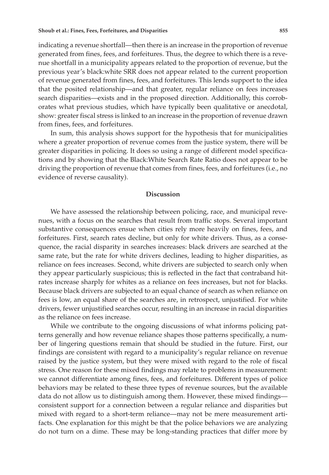indicating a revenue shortfall—then there is an increase in the proportion of revenue generated from fines, fees, and forfeitures. Thus, the degree to which there is a revenue shortfall in a municipality appears related to the proportion of revenue, but the previous year's black:white SRR does not appear related to the current proportion of revenue generated from fines, fees, and forfeitures. This lends support to the idea that the posited relationship—and that greater, regular reliance on fees increases search disparities—exists and in the proposed direction. Additionally, this corroborates what previous studies, which have typically been qualitative or anecdotal, show: greater fiscal stress is linked to an increase in the proportion of revenue drawn from fines, fees, and forfeitures.

In sum, this analysis shows support for the hypothesis that for municipalities where a greater proportion of revenue comes from the justice system, there will be greater disparities in policing. It does so using a range of different model specifications and by showing that the Black:White Search Rate Ratio does not appear to be driving the proportion of revenue that comes from fines, fees, and forfeitures (i.e., no evidence of reverse causality).

## **Discussion**

We have assessed the relationship between policing, race, and municipal revenues, with a focus on the searches that result from traffic stops. Several important substantive consequences ensue when cities rely more heavily on fines, fees, and forfeitures. First, search rates decline, but only for white drivers. Thus, as a consequence, the racial disparity in searches increases: black drivers are searched at the same rate, but the rate for white drivers declines, leading to higher disparities, as reliance on fees increases. Second, white drivers are subjected to search only when they appear particularly suspicious; this is reflected in the fact that contraband hitrates increase sharply for whites as a reliance on fees increases, but not for blacks. Because black drivers are subjected to an equal chance of search as when reliance on fees is low, an equal share of the searches are, in retrospect, unjustified. For white drivers, fewer unjustified searches occur, resulting in an increase in racial disparities as the reliance on fees increase.

While we contribute to the ongoing discussions of what informs policing patterns generally and how revenue reliance shapes those patterns specifically, a number of lingering questions remain that should be studied in the future. First, our findings are consistent with regard to a municipality's regular reliance on revenue raised by the justice system, but they were mixed with regard to the role of fiscal stress. One reason for these mixed findings may relate to problems in measurement: we cannot differentiate among fines, fees, and forfeitures. Different types of police behaviors may be related to these three types of revenue sources, but the available data do not allow us to distinguish among them. However, these mixed findings consistent support for a connection between a regular reliance and disparities but mixed with regard to a short-term reliance—may not be mere measurement artifacts. One explanation for this might be that the police behaviors we are analyzing do not turn on a dime. These may be long-standing practices that differ more by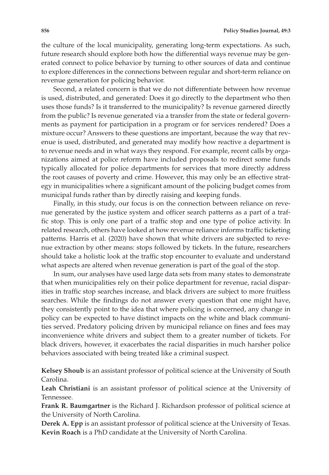the culture of the local municipality, generating long-term expectations. As such, future research should explore both how the differential ways revenue may be generated connect to police behavior by turning to other sources of data and continue to explore differences in the connections between regular and short-term reliance on revenue generation for policing behavior.

Second, a related concern is that we do not differentiate between how revenue is used, distributed, and generated: Does it go directly to the department who then uses those funds? Is it transferred to the municipality? Is revenue garnered directly from the public? Is revenue generated via a transfer from the state or federal governments as payment for participation in a program or for services rendered? Does a mixture occur? Answers to these questions are important, because the way that revenue is used, distributed, and generated may modify how reactive a department is to revenue needs and in what ways they respond. For example, recent calls by organizations aimed at police reform have included proposals to redirect some funds typically allocated for police departments for services that more directly address the root causes of poverty and crime. However, this may only be an effective strategy in municipalities where a significant amount of the policing budget comes from municipal funds rather than by directly raising and keeping funds.

Finally, in this study, our focus is on the connection between reliance on revenue generated by the justice system and officer search patterns as a part of a traffic stop. This is only one part of a traffic stop and one type of police activity. In related research, others have looked at how revenue reliance informs traffic ticketing patterns. Harris et al. (2020) have shown that white drivers are subjected to revenue extraction by other means: stops followed by tickets. In the future, researchers should take a holistic look at the traffic stop encounter to evaluate and understand what aspects are altered when revenue generation is part of the goal of the stop.

In sum, our analyses have used large data sets from many states to demonstrate that when municipalities rely on their police department for revenue, racial disparities in traffic stop searches increase, and black drivers are subject to more fruitless searches. While the findings do not answer every question that one might have, they consistently point to the idea that where policing is concerned, any change in policy can be expected to have distinct impacts on the white and black communities served. Predatory policing driven by municipal reliance on fines and fees may inconvenience white drivers and subject them to a greater number of tickets. For black drivers, however, it exacerbates the racial disparities in much harsher police behaviors associated with being treated like a criminal suspect.

**Kelsey Shoub** is an assistant professor of political science at the University of South Carolina.

**Leah Christiani** is an assistant professor of political science at the University of Tennessee.

**Frank R. Baumgartner** is the Richard J. Richardson professor of political science at the University of North Carolina.

**Derek A. Epp** is an assistant professor of political science at the University of Texas. **Kevin Roach** is a PhD candidate at the University of North Carolina.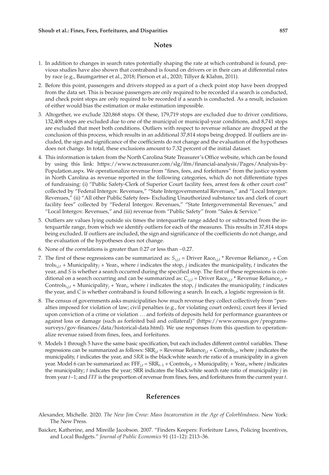#### **Notes**

- 1. In addition to changes in search rates potentially shaping the rate at which contraband is found, previous studies have also shown that contraband is found on drivers or in their cars at differential rates by race (e.g., Baumgartner et al., 2018; Pierson et al., 2020; Tillyer & Klahm, 2011).
- 2. Before this point, passengers and drivers stopped as a part of a check point stop have been dropped from the data set. This is because passengers are only required to be recorded if a search is conducted, and check point stops are only required to be recorded if a search is conducted. As a result, inclusion of either would bias the estimation or make estimation impossible.
- 3. Altogether, we exclude 320,868 stops. Of these, 179,719 stops are excluded due to driver conditions, 132,408 stops are excluded due to one of the municipal or municipal-year conditions, and 8,741 stops are excluded that meet both conditions. Outliers with respect to revenue reliance are dropped at the conclusion of this process, which results in an additional 37,814 stops being dropped. If outliers are included, the sign and significance of the coefficients do not change and the evaluation of the hypotheses does not change. In total, these exclusions amount to 7.32 percent of the initial dataset.
- 4. This information is taken from the North Carolina State Treasurer's Office website, which can be found by using this link: [https://www.nctreasurer.com/slg/lfm/financial-analysis/Pages/Analysis-by-](https://www.nctreasurer.com/slg/lfm/financial-analysis/Pages/Analysis-by-Population.aspx)[Population.aspx](https://www.nctreasurer.com/slg/lfm/financial-analysis/Pages/Analysis-by-Population.aspx). We operationalize revenue from "fines, fees, and forfeitures" from the justice system in North Carolina as revenue reported in the following categories, which do not differentiate types of fundraising: (i) "Public Safety-Clerk of Superior Court facility fees, arrest fees & other court cost" collected by "Federal Intergov. Revenues," "State Intergovernmental Revenues," and "Local Intergov. Revenues," (ii) "All other Public Safety fees- Excluding Unauthorized substance tax and clerk of court facility fees" collected by "Federal Intergov. Revenues," "State Intergovernmental Revenues," and "Local Intergov. Revenues," and (iii) revenue from "Public Safety" from "Sales & Service."
- 5. Outliers are values lying outside six times the interquartile range added to or subtracted from the interquartile range, from which we identify outliers for each of the measures. This results in 37,814 stops being excluded. If outliers are included, the sign and significance of the coefficients do not change, and the evaluation of the hypotheses does not change.
- 6. None of the correlations is greater than 0.27 or less than −0.27.
- 7. The first of these regressions can be summarized as:  $S_{i,i,t}$  = Driver Race<sub>i,*t*</sub> + Revenue Reliance<sub>*i*,*t*</sub> + Con  $\text{trols}_{i,j,t}$  + Municipality<sub>*j*</sub> + Year<sub>t</sub>, where *i* indicates the stop, *j* indicates the municipality, *t* indicates the year, and *S* is whether a search occurred during the specified stop. The first of these regressions is conditional on a search occurring and can be summarized as: *Ci*,*j*,*t* = Driver Race*i*,*j*,*t* \* Revenue Reliance*j*,*t* + Controls<sub>*i*,*i*,<sup> $t$ </sup> Municipality<sub>*i*</sub> + Year<sub>t</sub>, where *i* indicates the stop, *j* indicates the municipality, *t* indicates</sub> the year, and *C* is whether contraband is found following a search. In each, a logistic regression is fit.
- 8. The census of governments asks municipalities how much revenue they collect collectively from "penalties imposed for violation of law; civil penalties (e.g., for violating court orders); court fees if levied upon conviction of a crime or violation … and forfeits of deposits held for performance guarantees or against loss or damage (such as forfeited bail and collateral)" [\(https://www.census.gov/programs](https://www.census.gov/programs-surveys/gov-finances/data/historical-data.html)[surveys/gov-finances/data/historical-data.html\)](https://www.census.gov/programs-surveys/gov-finances/data/historical-data.html). We use responses from this question to operationalize revenue raised from fines, fees, and forfeitures.
- 9. Models 1 through 5 have the same basic specification, but each includes different control variables. These regressions can be summarized as follows:  $SRR_{j,t}$  = Revenue Reliance<sub>*j*,*t*</sub> + Controls<sub>j,*t*</sub>, where *j* indicates the municipality, *t* indicates the year, and *SRR* is the black:white search rte ratio of a municipality in a given year. Model 6 can be summarized as: FFF*j*,*t* = SRR*t*−1 + Controls*<sup>j</sup>*,*t* + Municipality*j* + Year*t*, where *j* indicates the municipality; *t* indicates the year; SRR indicates the black:white search rate ratio of municipality *j* in from year *t*−1; and *FFF* is the proportion of revenue from fines, fees, and forfeitures from the current year *t*.

#### **References**

- Alexander, Michelle. 2020. *The New Jim Crow: Mass Incarceration in the Age of Colorblindness*. New York: The New Press.
- Baicker, Katherine, and Mireille Jacobson. 2007. "Finders Keepers: Forfeiture Laws, Policing Incentives, and Local Budgets." *Journal of Public Economics* 91 (11–12): 2113–36.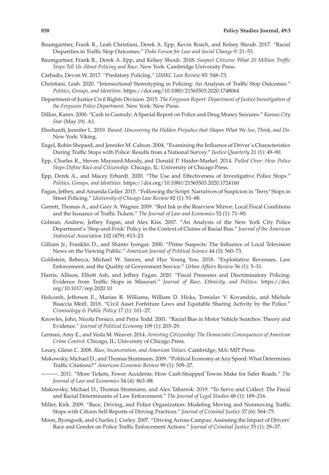- Baumgartner, Frank R., Leah Christiani, Derek A. Epp, Kevin Roach, and Kelsey Shoub. 2017. "Racial Disparities in Traffic Stop Outcomes." *Duke Forum for Law and Social Change* 9: 21–53.
- Baumgartner, Frank R., Derek A. Epp, and Kelsey Shoub. 2018. *Suspect Citizens: What 20 Million Traffic Stops Tell Us About Policing and Race*. New York: Cambridge University Press.
- Carbado, Devon W. 2017. "Predatory Policing." *UMKC Law Review* 85: 548–73.
- Christiani, Leah. 2020. "Intersectional Stereotyping in Policing: An Analysis of Traffic Stop Outcomes." *Politics, Groups, and Identities*.<https://doi.org/10.1080/21565503.2020.1748064>
- Department of Justice Civil Rights Division. 2015. *The Ferguson Report: Department of Justice Investigation of the Ferguson Police Department*. New York: New Press.
- Dillon, Karen. 2000. "Cash in Custody: A Special Report on Police and Drug Money Seizures." *Kansas City Star* (May 19). A1.
- Eberhardt, Jennifer L. 2019. *Biased: Uncovering the Hidden Prejudice that Shapes What We See, Think, and Do*. New York: Viking.
- Engel, Robin Shepard, and Jennifer M. Calnon. 2004. "Examining the Influence of Driver's Characteristics During Traffic Stops with Police: Results from a National Survey." *Justice Quarterly* 21 (1): 49–90.
- Epp, Charles R., Steven Maynard-Moody, and Donald P. Haider-Markel. 2014. *Pulled Over: How Police Stops Define Race and Citizenship*. Chicago, IL: University of Chicago Press.
- Epp, Derek A., and Macey Erhardt. 2020. "The Use and Effectiveness of Investigative Police Stops." *Politics, Groups, and Identities*.<https://doi.org/10.1080/21565503.2020.1724160>
- Fagan, Jeffrey, and Amanda Geller. 2015. "Following the Script: Narratives of Suspicion in 'Terry' Stops in Street Policing." *University of Chicago Law Review* 82 (1): 51–88.
- Garrett, Thomas A., and Gary A. Wagner. 2009. "Red Ink in the Rearview Mirror: Local Fiscal Conditions and the Issuance of Traffic Tickets." *The Journal of Law and Economics* 52 (1): 71–90.
- Gelman, Andrew, Jeffrey Fagan, and Alex Kiss. 2007. "An Analysis of the New York City Police Department's 'Stop-and-Frisk' Policy in the Context of Claims of Racial Bias." *Journal of the American Statistical Association* 102 (479): 813–23.
- Gilliam Jr., Franklin D., and Shanto Iyengar. 2000. "Prime Suspects: The Influence of Local Television News on the Viewing Public." *American Journal of Political Science* 44 (3): 560–73.
- Goldstein, Rebecca, Michael W. Sances, and Hye Young You. 2018. "Exploitative Revenues, Law Enforcement, and the Quality of Government Service." *Urban Affairs Review* 56 (1): 5–31.
- Harris, Allison, Elliott Ash, and Jeffrey Fagan. 2020. "Fiscal Pressures and Discriminatory Policing: Evidence from Traffic Stops in Missouri." *Journal of Race, Ethnicity, and Politics*. [https://doi.](https://doi.org/10.1017/rep.2020.10) [org/10.1017/rep.2020.10](https://doi.org/10.1017/rep.2020.10)
- Holcomb, Jefferson E., Marian R. Williams, William D. Hicks, Tomislav V. Kovandzic, and Michele Bisaccia Meitl. 2018. "Civil Asset Forfeiture Laws and Equitable Sharing Activity by the Police." *Criminology & Public Policy* 17 (1): 101–27.
- Knowles, John, Nicola Persico, and Petra Todd. 2001. "Racial Bias in Motor Vehicle Searches: Theory and Evidence." *Journal of Political Economy* 109 (1): 203–29.
- Lerman, Amy E., and Vesla M. Weaver. 2014. *Arresting Citizenship: The Democratic Consequences of American Crime Control*. Chicago, IL: University of Chicago Press.
- Loury, Glenn C. 2008. *Race, Incarceration, and American Values*. Cambridge, MA: MIT Press.
- Makowsky, Michael D., and Thomas Stratmann. 2009. "Political Economy at Any Speed: What Determines Traffic Citations?" *American Economic Review* 99 (1): 509–27.
- . 2011. "More Tickets, Fewer Accidents: How Cash-Strapped Towns Make for Safer Roads." *The Journal of Law and Economics* 54 (4): 863–88.
- Makowsky, Michael D., Thomas Stratmann, and Alex Tabarrok. 2019. "To Serve and Collect: The Fiscal and Racial Determinants of Law Enforcement." *The Journal of Legal Studies* 48 (1): 189–216.
- Miller, Kirk. 2009. "Race, Driving, and Police Organization: Modeling Moving and Nonmoving Traffic Stops with Citizen Self-Reports of Driving Practices." *Journal of Criminal Justice* 37 (6): 564–75.
- Moon, Byongook, and Charles J. Corley. 2007. "Driving Across Campus: Assessing the Impact of Drivers' Race and Gender on Police Traffic Enforcement Actions." *Journal of Criminal Justice* 35 (1): 29–37.